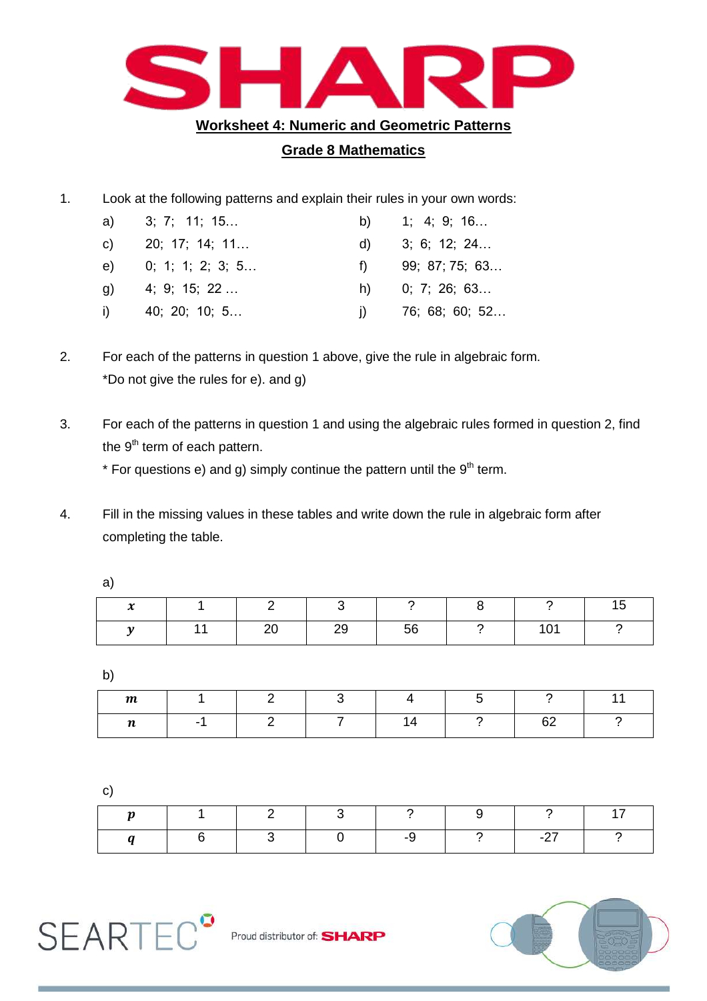

## **Grade 8 Mathematics**

1. Look at the following patterns and explain their rules in your own words:

|    | a) 3; 7; 11; 15  |              | b) $1; 4; 9; 16$ |
|----|------------------|--------------|------------------|
| C) | 20; 17; 14; 11   | d)           | 3; 6; 12; 24     |
| e) | 0; 1; 1; 2; 3; 5 | $\uparrow$   | 99; 87; 75; 63   |
| a) | 4; 9; 15; 22     | h)           | 0; 7; 26; 63     |
| i) | 40; 20; 10; 5    | $\mathbf{I}$ | 76; 68; 60; 52   |

- 2. For each of the patterns in question 1 above, give the rule in algebraic form. \*Do not give the rules for e). and g)
- 3. For each of the patterns in question 1 and using the algebraic rules formed in question 2, find the  $9<sup>th</sup>$  term of each pattern.

\* For questions  $e$ ) and g) simply continue the pattern until the  $9<sup>th</sup>$  term.

4. Fill in the missing values in these tables and write down the rule in algebraic form after completing the table.

| $\bullet$<br>∼ |  |         |    |             |  |
|----------------|--|---------|----|-------------|--|
|                |  | ററ<br>∼ | 56 | $\sim$<br>ັ |  |

b)

| $\boldsymbol{m}$ |  |  |         |  |
|------------------|--|--|---------|--|
| $\mathbf{r}$<br> |  |  | 62<br>ັ |  |

c)

|  | $\sim$ 2 |    | - 9 |                      |  |
|--|----------|----|-----|----------------------|--|
|  |          | -9 |     | $\sim$ $\sim$ $\sim$ |  |